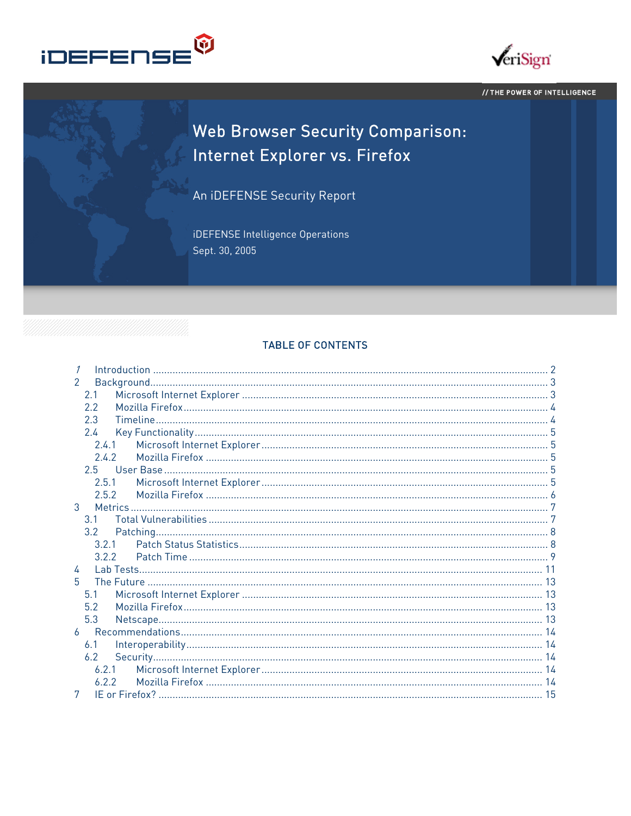



#### // THE POWER OF INTELLIGENCE

# Web Browser Security Comparison: Internet Explorer vs. Firefox

An iDEFENSE Security Report

iDEFENSE Intelligence Operations Sept. 30, 2005

#### **TABLE OF CONTENTS**

| $\mathcal{P}$  |  |
|----------------|--|
| 2.1            |  |
| 2.2            |  |
| 2.3            |  |
| 2.4            |  |
| 2.4.1          |  |
| 2.4.2          |  |
| $2.5 -$        |  |
| 2.5.1          |  |
| 2.5.2          |  |
| 3              |  |
| 3 1            |  |
| $3.2^{\circ}$  |  |
| 3.2.1          |  |
| 3.2.2          |  |
| 4              |  |
| 5.             |  |
| 5.1            |  |
| 5.2            |  |
| 5.3            |  |
| $\overline{b}$ |  |
| 6.1            |  |
| 6.2            |  |
| 6.2.1          |  |
| 6.2.2          |  |
| 7              |  |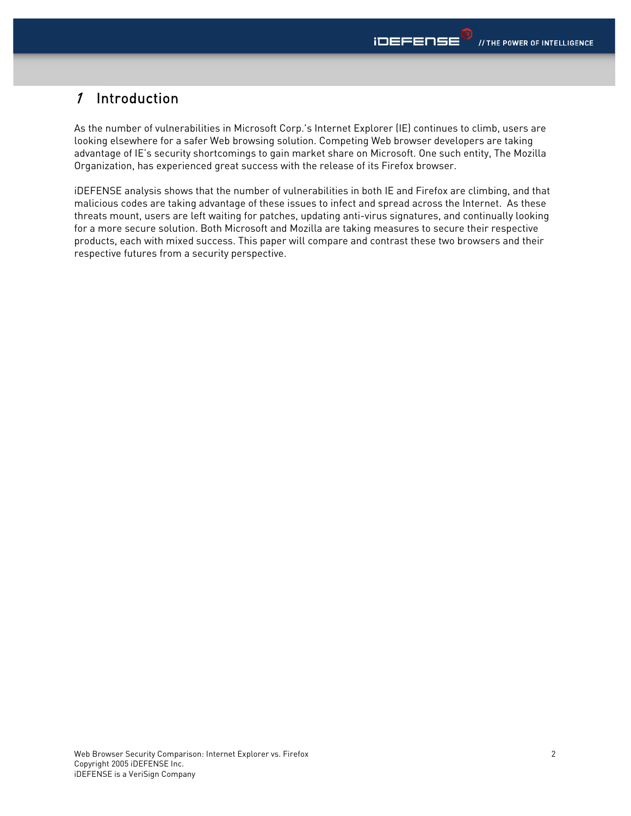# <span id="page-1-0"></span>1 Introduction

As the number of vulnerabilities in Microsoft Corp.'s Internet Explorer (IE) continues to climb, users are looking elsewhere for a safer Web browsing solution. Competing Web browser developers are taking advantage of IE's security shortcomings to gain market share on Microsoft. One such entity, The Mozilla Organization, has experienced great success with the release of its Firefox browser.

iDEFENSE analysis shows that the number of vulnerabilities in both IE and Firefox are climbing, and that malicious codes are taking advantage of these issues to infect and spread across the Internet. As these threats mount, users are left waiting for patches, updating anti-virus signatures, and continually looking for a more secure solution. Both Microsoft and Mozilla are taking measures to secure their respective products, each with mixed success. This paper will compare and contrast these two browsers and their respective futures from a security perspective.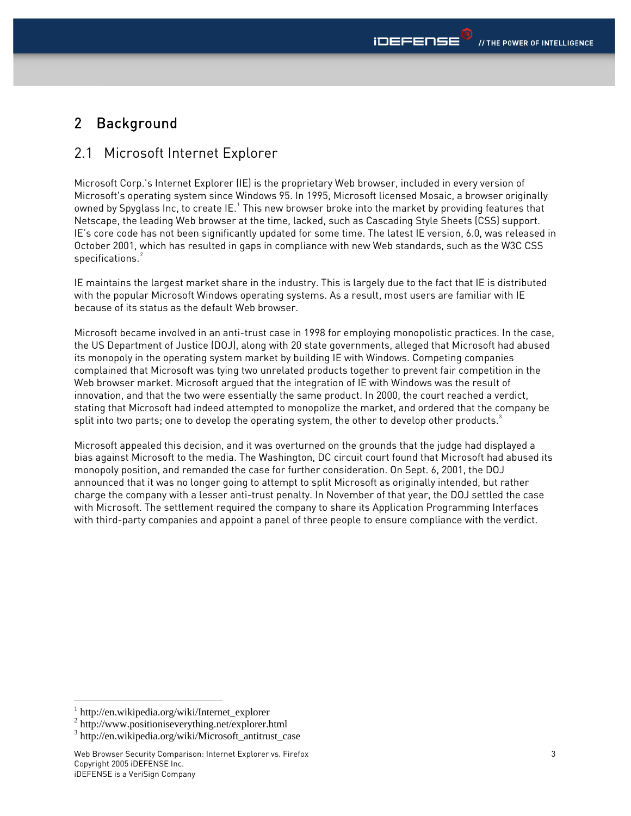# <span id="page-2-0"></span>2 Background

### 2.1 Microsoft Internet Explorer

Microsoft Corp.'s Internet Explorer (IE) is the proprietary Web browser, included in every version of Microsoft's operating system since Windows 95. In 1995, Microsoft licensed Mosaic, a browser originally owned by Spyglass Inc, to create IE. $^{\rm 1}$  $^{\rm 1}$  $^{\rm 1}$  This new browser broke into the market by providing features that Netscape, the leading Web browser at the time, lacked, such as Cascading Style Sheets (CSS) support. IE's core code has not been significantly updated for some time. The latest IE version, 6.0, was released in October 2001, which has resulted in gaps in compliance with new Web standards, such as the W3C CSS specifications.<sup>[2](#page-2-2)</sup>

IE maintains the largest market share in the industry. This is largely due to the fact that IE is distributed with the popular Microsoft Windows operating systems. As a result, most users are familiar with IE because of its status as the default Web browser.

Microsoft became involved in an anti-trust case in 1998 for employing monopolistic practices. In the case, the US Department of Justice (DOJ), along with 20 state governments, alleged that Microsoft had abused its monopoly in the operating system market by building IE with Windows. Competing companies complained that Microsoft was tying two unrelated products together to prevent fair competition in the Web browser market. Microsoft argued that the integration of IE with Windows was the result of innovation, and that the two were essentially the same product. In 2000, the court reached a verdict, stating that Microsoft had indeed attempted to monopolize the market, and ordered that the company be split into two parts; one to develop the operating system, the other to develop other products. $3$ 

Microsoft appealed this decision, and it was overturned on the grounds that the judge had displayed a bias against Microsoft to the media. The Washington, DC circuit court found that Microsoft had abused its monopoly position, and remanded the case for further consideration. On Sept. 6, 2001, the DOJ announced that it was no longer going to attempt to split Microsoft as originally intended, but rather charge the company with a lesser anti-trust penalty. In November of that year, the DOJ settled the case with Microsoft. The settlement required the company to share its Application Programming Interfaces with third-party companies and appoint a panel of three people to ensure compliance with the verdict.

<span id="page-2-1"></span><sup>1</sup> http://en.wikipedia.org/wiki/Internet\_explorer

<span id="page-2-2"></span><sup>2</sup> http://www.positioniseverything.net/explorer.html

<span id="page-2-3"></span><sup>3</sup> http://en.wikipedia.org/wiki/Microsoft\_antitrust\_case

Web Browser Security Comparison: Internet Explorer vs. Firefox Copyright 2005 iDEFENSE Inc. iDEFENSE is a VeriSign Company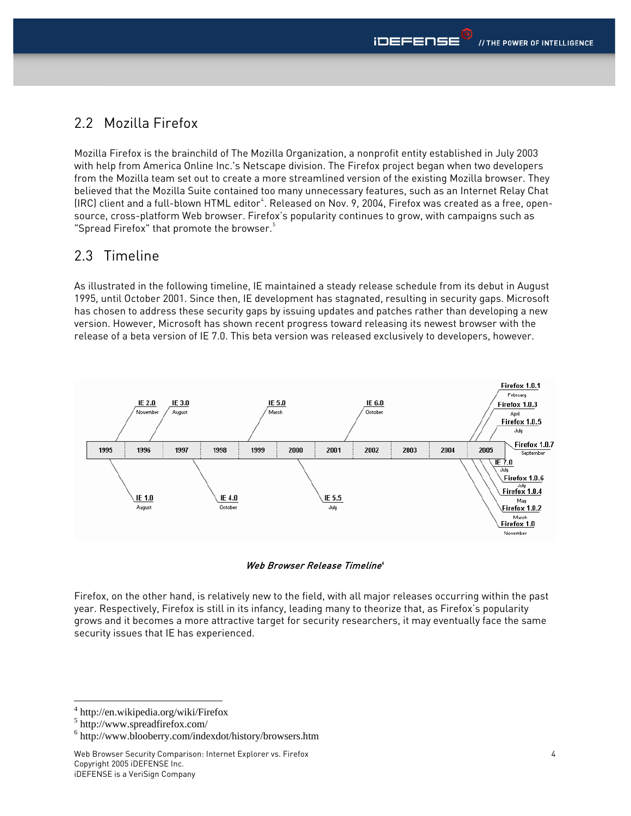# <span id="page-3-0"></span>2.2 Mozilla Firefox

Mozilla Firefox is the brainchild of The Mozilla Organization, a nonprofit entity established in July 2003 with help from America Online Inc.'s Netscape division. The Firefox project began when two developers from the Mozilla team set out to create a more streamlined version of the existing Mozilla browser. They believed that the Mozilla Suite contained too many unnecessary features, such as an Internet Relay Chat (IRC) client and a full-blown HTML editor<sup>[4](#page-3-1)</sup>. Released on Nov. 9, 2004, Firefox was created as a free, opensource, cross-platform Web browser. Firefox's popularity continues to grow, with campaigns such as "Spread Firefox" that promote the browser. $5$ 

## 2.3 Timeline

As illustrated in the following timeline, IE maintained a steady release schedule from its debut in August 1995, until October 2001. Since then, IE development has stagnated, resulting in security gaps. Microsoft has chosen to address these security gaps by issuing updates and patches rather than developing a new version. However, Microsoft has shown recent progress toward releasing its newest browser with the release of a beta version of IE 7.0. This beta version was released exclusively to developers, however.



Web Browser Release Timeline®

Firefox, on the other hand, is relatively new to the field, with all major releases occurring within the past year. Respectively, Firefox is still in its infancy, leading many to theorize that, as Firefox's popularity grows and it becomes a more attractive target for security researchers, it may eventually face the same security issues that IE has experienced.

<span id="page-3-1"></span><sup>4</sup> http://en.wikipedia.org/wiki/Firefox

<span id="page-3-2"></span><sup>5</sup> http://www.spreadfirefox.com/

<span id="page-3-3"></span><sup>6</sup> http://www.blooberry.com/indexdot/history/browsers.htm

Web Browser Security Comparison: Internet Explorer vs. Firefox Copyright 2005 iDEFENSE Inc. iDEFENSE is a VeriSign Company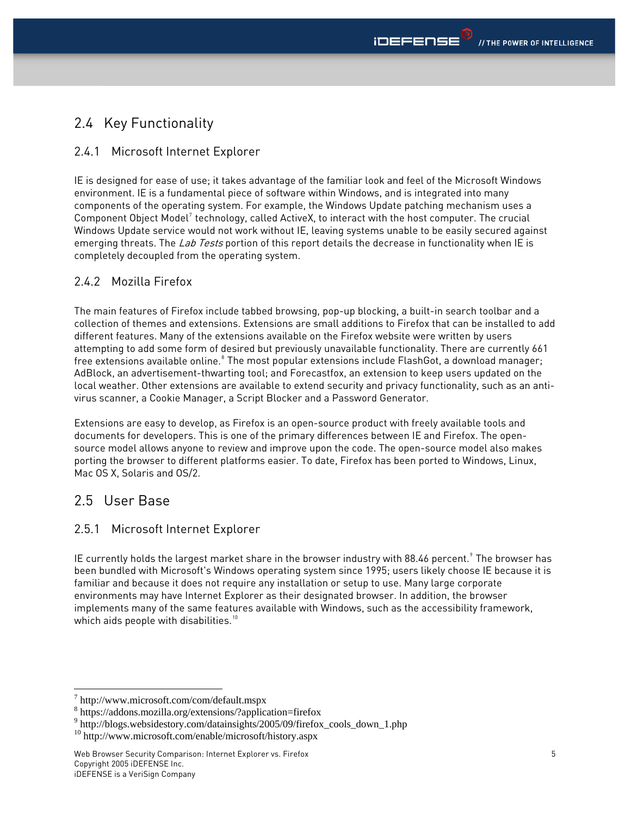# <span id="page-4-0"></span>2.4 Key Functionality

### 2.4.1 Microsoft Internet Explorer

IE is designed for ease of use; it takes advantage of the familiar look and feel of the Microsoft Windows environment. IE is a fundamental piece of software within Windows, and is integrated into many components of the operating system. For example, the Windows Update patching mechanism uses a Component Object Model<sup>[7](#page-4-1)</sup> technology, called ActiveX, to interact with the host computer. The crucial Windows Update service would not work without IE, leaving systems unable to be easily secured against emerging threats. The Lab Tests portion of this report details the decrease in functionality when IE is completely decoupled from the operating system.

### 2.4.2 Mozilla Firefox

The main features of Firefox include tabbed browsing, pop-up blocking, a built-in search toolbar and a collection of themes and extensions. Extensions are small additions to Firefox that can be installed to add different features. Many of the extensions available on the Firefox website were written by users attempting to add some form of desired but previously unavailable functionality. There are currently 661 free extensions available online. $^{\circ}$  The most popular extensions include FlashGot, a download manager; AdBlock, an advertisement-thwarting tool; and Forecastfox, an extension to keep users updated on the local weather. Other extensions are available to extend security and privacy functionality, such as an antivirus scanner, a Cookie Manager, a Script Blocker and a Password Generator.

Extensions are easy to develop, as Firefox is an open-source product with freely available tools and documents for developers. This is one of the primary differences between IE and Firefox. The opensource model allows anyone to review and improve upon the code. The open-source model also makes porting the browser to different platforms easier. To date, Firefox has been ported to Windows, Linux, Mac OS X, Solaris and OS/2.

# 2.5 User Base

### 2.5.1 Microsoft Internet Explorer

IE currently holds the largest market share in the browser industry with 88.46 percent. $^{\circ}$  The browser has been bundled with Microsoft's Windows operating system since 1995; users likely choose IE because it is familiar and because it does not require any installation or setup to use. Many large corporate environments may have Internet Explorer as their designated browser. In addition, the browser implements many of the same features available with Windows, such as the accessibility framework, which aids people with disabilities.<sup>[10](#page-4-4)</sup>

<sup>1</sup> 7 http://www.microsoft.com/com/default.mspx

<span id="page-4-2"></span><span id="page-4-1"></span><sup>8</sup> https://addons.mozilla.org/extensions/?application=firefox

<span id="page-4-3"></span><sup>9</sup> http://blogs.websidestory.com/datainsights/2005/09/firefox\_cools\_down\_1.php

<span id="page-4-4"></span><sup>10</sup> http://www.microsoft.com/enable/microsoft/history.aspx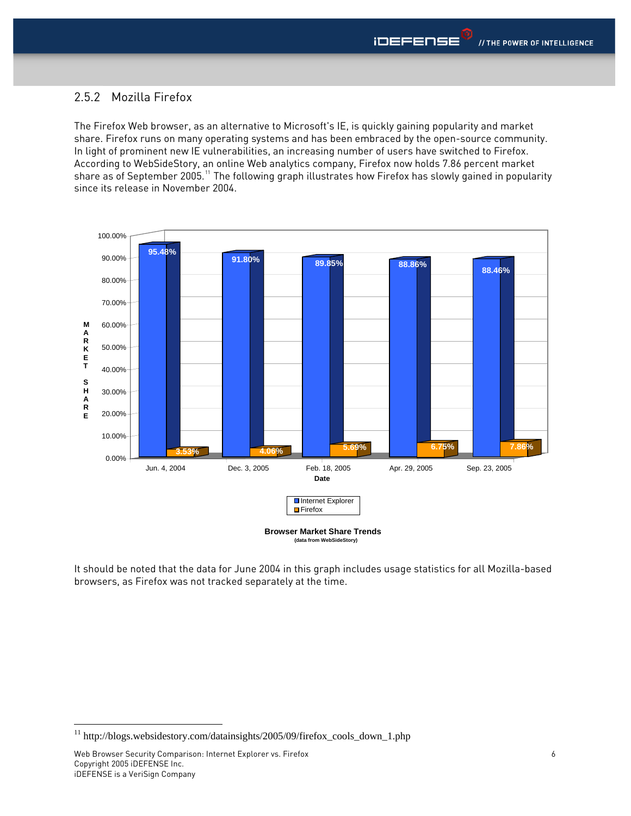#### <span id="page-5-0"></span>2.5.2 Mozilla Firefox

The Firefox Web browser, as an alternative to Microsoft's IE, is quickly gaining popularity and market share. Firefox runs on many operating systems and has been embraced by the open-source community. In light of prominent new IE vulnerabilities, an increasing number of users have switched to Firefox. According to WebSideStory, an online Web analytics company, Firefox now holds 7.86 percent market share as of September 2005.<sup>[11](#page-5-1)</sup> The following graph illustrates how Firefox has slowly gained in popularity since its release in November 2004.



**(data from WebSideStory)**

It should be noted that the data for June 2004 in this graph includes usage statistics for all Mozilla-based browsers, as Firefox was not tracked separately at the time.

<span id="page-5-1"></span><sup>&</sup>lt;sup>11</sup> http://blogs.websidestory.com/datainsights/2005/09/firefox\_cools\_down\_1.php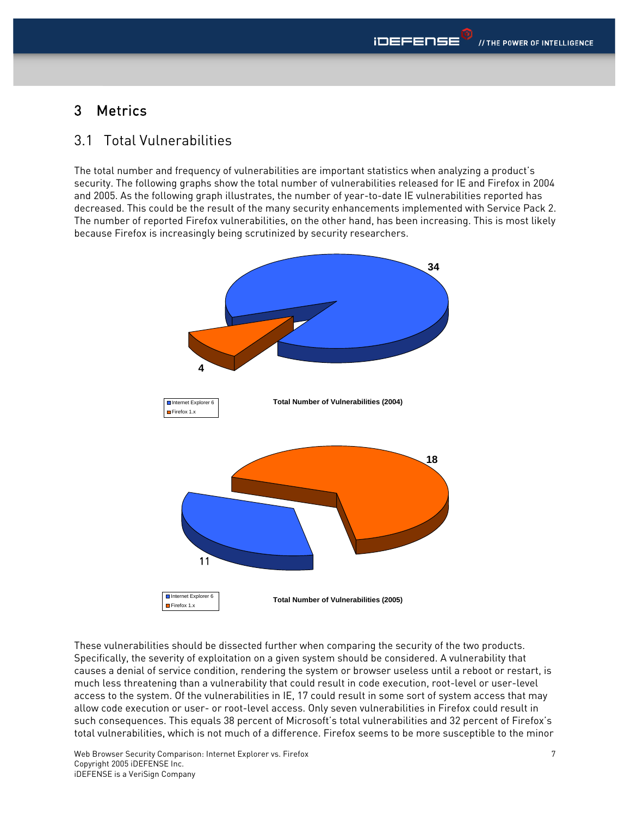# <span id="page-6-0"></span>3 Metrics

### 3.1 Total Vulnerabilities

The total number and frequency of vulnerabilities are important statistics when analyzing a product's security. The following graphs show the total number of vulnerabilities released for IE and Firefox in 2004 and 2005. As the following graph illustrates, the number of year-to-date IE vulnerabilities reported has decreased. This could be the result of the many security enhancements implemented with Service Pack 2. The number of reported Firefox vulnerabilities, on the other hand, has been increasing. This is most likely because Firefox is increasingly being scrutinized by security researchers.



These vulnerabilities should be dissected further when comparing the security of the two products. Specifically, the severity of exploitation on a given system should be considered. A vulnerability that causes a denial of service condition, rendering the system or browser useless until a reboot or restart, is much less threatening than a vulnerability that could result in code execution, root-level or user-level access to the system. Of the vulnerabilities in IE, 17 could result in some sort of system access that may allow code execution or user- or root-level access. Only seven vulnerabilities in Firefox could result in such consequences. This equals 38 percent of Microsoft's total vulnerabilities and 32 percent of Firefox's total vulnerabilities, which is not much of a difference. Firefox seems to be more susceptible to the minor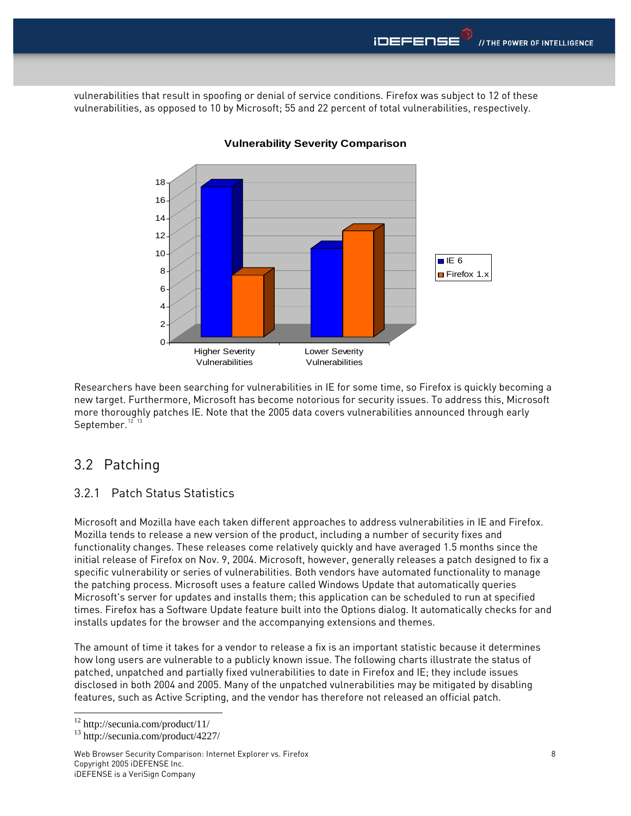<span id="page-7-0"></span>vulnerabilities that result in spoofing or denial of service conditions. Firefox was subject to 12 of these vulnerabilities, as opposed to 10 by Microsoft; 55 and 22 percent of total vulnerabilities, respectively.



#### **Vulnerability Severity Comparison**

Researchers have been searching for vulnerabilities in IE for some time, so Firefox is quickly ecoming a b new target. Furthermore, Microsoft has become notorious for security issues. To address this, Microsoft more thoroughly patches IE. Note that the 2005 data covers vulnerabilities announced through early September. $^{\rm 12-13}$  $^{\rm 12-13}$  $^{\rm 12-13}$  $^{\rm 12-13}$  $^{\rm 12-13}$ 

### 3.2 Patching

#### 3.2.1 Patch Status Statistics

Microsoft and Mozilla have each taken different approaches to address vulnerabilities in IE and Firefox. functionality changes. These releases come relatively quickly and have averaged 1.5 months since the initial release of Firefox on Nov. 9, 2004. Microsoft, however, generally releases a patch designed to fix a Microsoft's server for updates and installs them; this application can be scheduled to run at specified times. Firefox has a Software Update feature built into the Options dialog. It automatically checks for and Mozilla tends to release a new version of the product, including a number of security fixes and specific vulnerability or series of vulnerabilities. Both vendors have automated functionality to manage the patching process. Microsoft uses a feature called Windows Update that automatically queries installs updates for the browser and the accompanying extensions and themes.

The amount of time it takes for a vendor to release a fix is an important statistic because it determines disclosed in both 2004 and 2005. Many of the unpatched vulnerabilities may be mitigated by disabling features, such as Active Scripting, and the vendor has therefore not released an official patch. how long users are vulnerable to a publicly known issue. The following charts illustrate the status of patched, unpatched and partially fixed vulnerabilities to date in Firefox and IE; they include issues

-

Web Browser Security Comparison: Internet Explorer vs. Firefox Copyright 2005 iDEFENSE Inc. iDEFENSE is a VeriSign Company

<span id="page-7-1"></span><sup>12</sup> http://secunia.com/product/11/

<span id="page-7-2"></span><sup>13</sup> http://secunia.com/product/4227/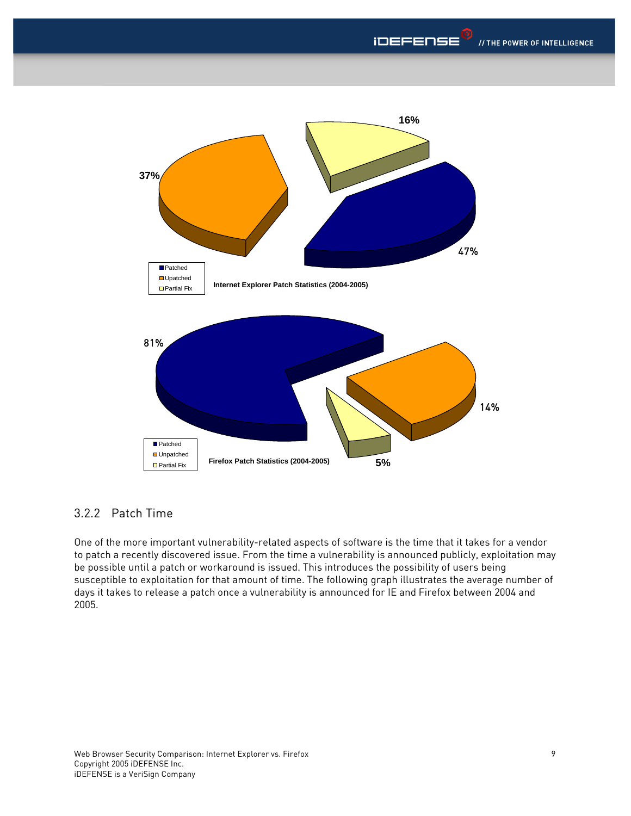<span id="page-8-0"></span>

### .2.2 Patch Time 3

One of the more important vulnerability-related aspects of software is the time that it takes for a vendor to patch a recently discovered issue. From the time a vulnerability is announced publicly, exploitation may  $\,$ days it takes to release a patch once a vulnerability is announced for IE and Firefox between 2004 and be possible until a patch or workaround is issued. This introduces the possibility of users being susceptible to exploitation for that amount of time. The following graph illustrates the average number of 2005.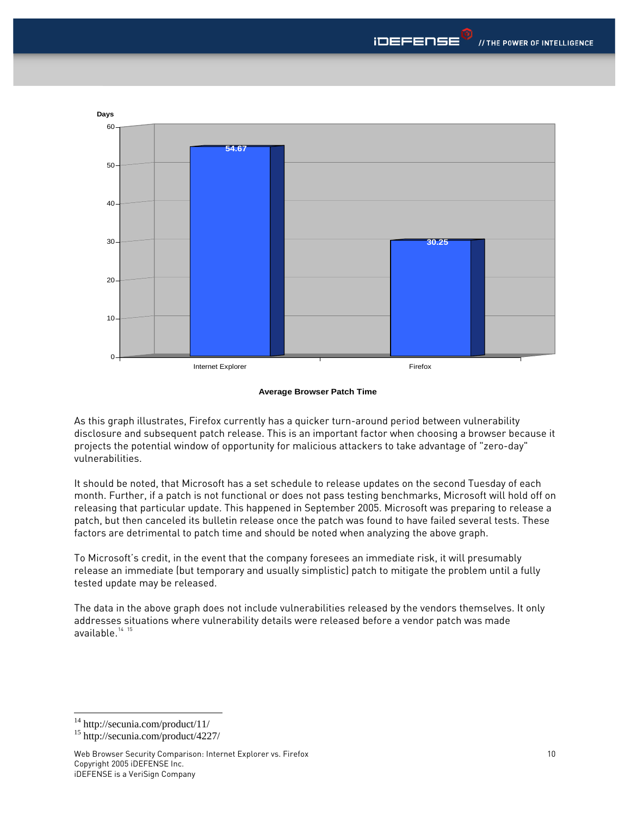

#### **Average Browser Patch Time**

As this graph illustrates, Firefox currently has a quicker turn-around period between vulnerability disclosure and subsequent patch release. This is an important factor when choosing a browser because it projects the potential window of opportunity for malicious attackers to take advantage of "zero-day" vulnerabilities.

It should be noted, that Microsoft has a set schedule to release updates on the second Tuesday of each month. Further, if a patch is not functional or does not pass testing benchmarks, Microsoft will hold off on releasing that particular update. This happened in September 2005. Microsoft was preparing to release a patch, but then canceled its bulletin release once the patch was found to have failed several tests. These factors are detrimental to patch time and should be noted when analyzing the above graph.

To Microsoft's credit, in the event that the company foresees an immediate risk, it will presumably release an immediate (but temporary and usually simplistic) patch to mitigate the problem until a fully tested update may be released.

The data in the above graph does not include vulnerabilities released by the vendors themselves. It only addresses situations where vulnerability details were released before a vendor patch was made available.<sup>[14](#page-9-0)</sup> <sup>[15](#page-9-1)</sup>

 $\overline{a}$ 

<span id="page-9-0"></span><sup>14</sup> http://secunia.com/product/11/

<span id="page-9-1"></span><sup>15</sup> http://secunia.com/product/4227/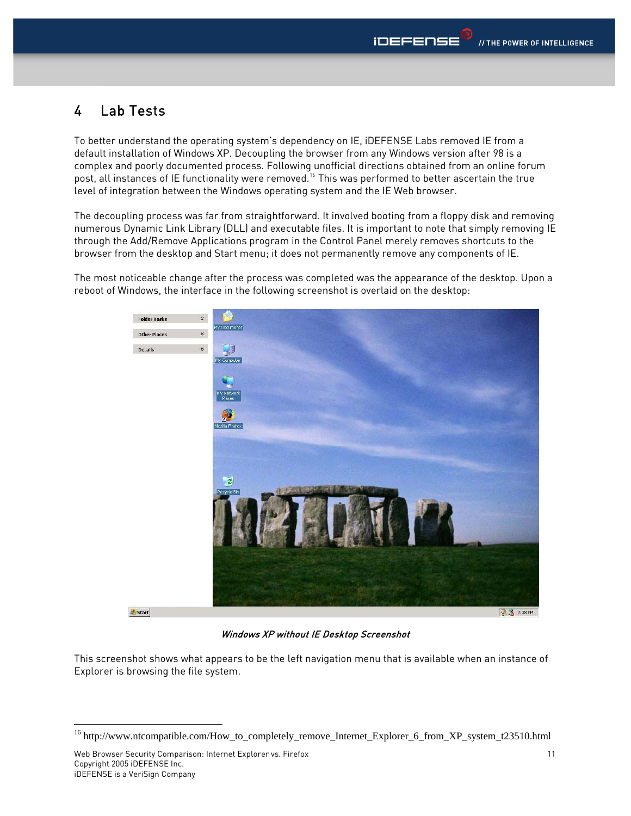# <span id="page-10-0"></span>4 Lab Tests

To better understand the operating system's dependency on IE, iDEFENSE Labs removed IE from a default installation of Windows XP. Decoupling the browser from any Windows version after 98 is a complex and poorly documented process. Following unofficial directions obtained from an online forum post, all instances of IE functionality were removed.[16](#page-10-1) This was performed to better ascertain the true level of integration between the Windows operating system and the IE Web browser.

The decoupling process was far from straightforward. It involved booting from a floppy disk and removing numerous Dynamic Link Library (DLL) and executable files. It is important to note that simply removing IE through the Add/Remove Applications program in the Control Panel merely removes shortcuts to the browser from the desktop and Start menu; it does not permanently remove any components of IE.

The most noticeable change after the process was completed was the appearance of the desktop. Upon a reboot of Windows, the interface in the following screenshot is overlaid on the desktop:



Windows XP without IE Desktop Screenshot

This screenshot shows what appears to be the left navigation menu that is available when an instance of Explorer is browsing the file system.

<span id="page-10-1"></span><sup>&</sup>lt;sup>16</sup> http://www.ntcompatible.com/How\_to\_completely\_remove\_Internet\_Explorer\_6\_from\_XP\_system\_t23510.html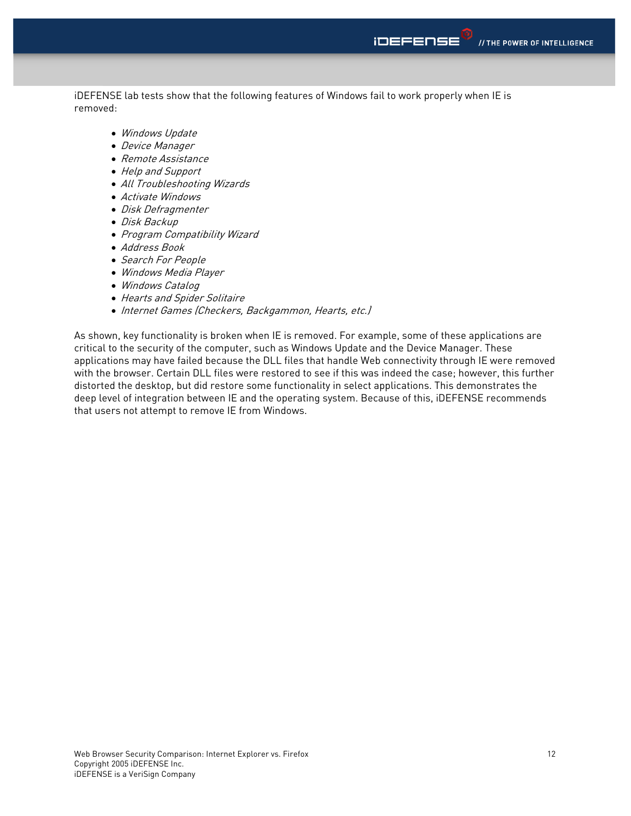iDEFENSE lab tests show that the following features of Windows fail to work properly when IE is removed:

- Windows Update
- Device Manager
- Remote Assistance
- Help and Support
- All Troubleshooting Wizards
- Activate Windows
- Disk Defragmenter
- Disk Backup
- Program Compatibility Wizard
- Address Book
- Search For People
- Windows Media Player
- Windows Catalog
- Hearts and Spider Solitaire
- Internet Games (Checkers, Backgammon, Hearts, etc.)

As shown, key functionality is broken when IE is removed. For example, some of these applications are critical to the security of the computer, such as Windows Update and the Device Manager. These applications may have failed because the DLL files that handle Web connectivity through IE were removed with the browser. Certain DLL files were restored to see if this was indeed the case; however, this further distorted the desktop, but did restore some functionality in select applications. This demonstrates the deep level of integration between IE and the operating system. Because of this, iDEFENSE recommends that users not attempt to remove IE from Windows.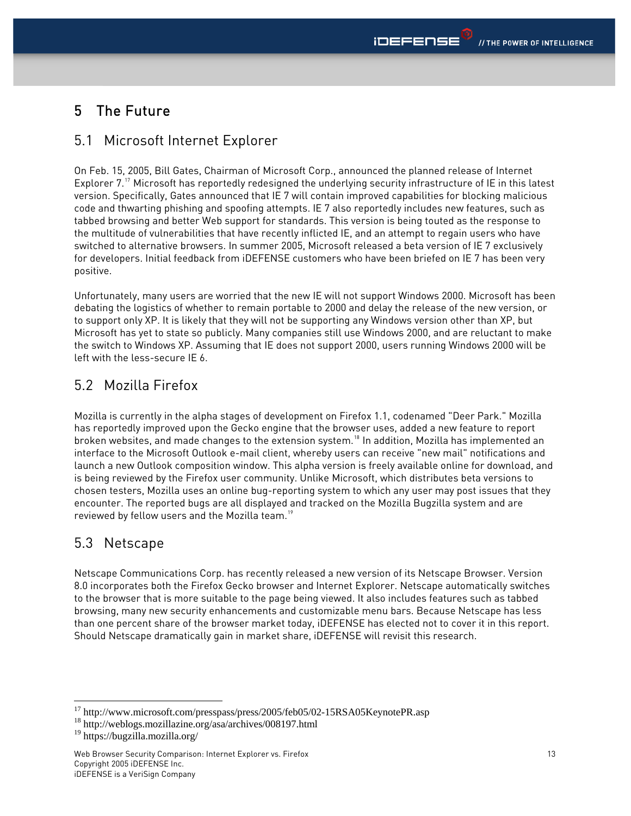# <span id="page-12-0"></span>5 The Future

## 5.1 Microsoft Internet Explorer

On Feb. 15, 2005, Bill Gates, Chairman of Microsoft Corp., announced the planned release of Internet Explorer 7.<sup>[17](#page-12-1)</sup> Microsoft has reportedly redesigned the underlying security infrastructure of IE in this latest version. Specifically, Gates announced that IE 7 will contain improved capabilities for blocking malicious code and thwarting phishing and spoofing attempts. IE 7 also reportedly includes new features, such as tabbed browsing and better Web support for standards. This version is being touted as the response to the multitude of vulnerabilities that have recently inflicted IE, and an attempt to regain users who have switched to alternative browsers. In summer 2005, Microsoft released a beta version of IE 7 exclusively for developers. Initial feedback from iDEFENSE customers who have been briefed on IE 7 has been very positive.

Unfortunately, many users are worried that the new IE will not support Windows 2000. Microsoft has been debating the logistics of whether to remain portable to 2000 and delay the release of the new version, or to support only XP. It is likely that they will not be supporting any Windows version other than XP, but Microsoft has yet to state so publicly. Many companies still use Windows 2000, and are reluctant to make the switch to Windows XP. Assuming that IE does not support 2000, users running Windows 2000 will be left with the less-secure IE 6.

# 5.2 Mozilla Firefox

Mozilla is currently in the alpha stages of development on Firefox 1.1, codenamed "Deer Park." Mozilla has reportedly improved upon the Gecko engine that the browser uses, added a new feature to report broken websites, and made changes to the extension system.[18](#page-12-2) In addition, Mozilla has implemented an interface to the Microsoft Outlook e-mail client, whereby users can receive "new mail" notifications and launch a new Outlook composition window. This alpha version is freely available online for download, and is being reviewed by the Firefox user community. Unlike Microsoft, which distributes beta versions to chosen testers, Mozilla uses an online bug-reporting system to which any user may post issues that they encounter. The reported bugs are all displayed and tracked on the Mozilla Bugzilla system and are reviewed by fellow users and the Mozilla team.<sup>[19](#page-12-3)</sup>

### 5.3 Netscape

Netscape Communications Corp. has recently released a new version of its Netscape Browser. Version 8.0 incorporates both the Firefox Gecko browser and Internet Explorer. Netscape automatically switches to the browser that is more suitable to the page being viewed. It also includes features such as tabbed browsing, many new security enhancements and customizable menu bars. Because Netscape has less than one percent share of the browser market today, iDEFENSE has elected not to cover it in this report. Should Netscape dramatically gain in market share, iDEFENSE will revisit this research.

<span id="page-12-1"></span><sup>&</sup>lt;sup>17</sup> http://www.microsoft.com/presspass/press/2005/feb05/02-15RSA05KeynotePR.asp

<span id="page-12-2"></span><sup>18</sup> http://weblogs.mozillazine.org/asa/archives/008197.html

<span id="page-12-3"></span><sup>19</sup> https://bugzilla.mozilla.org/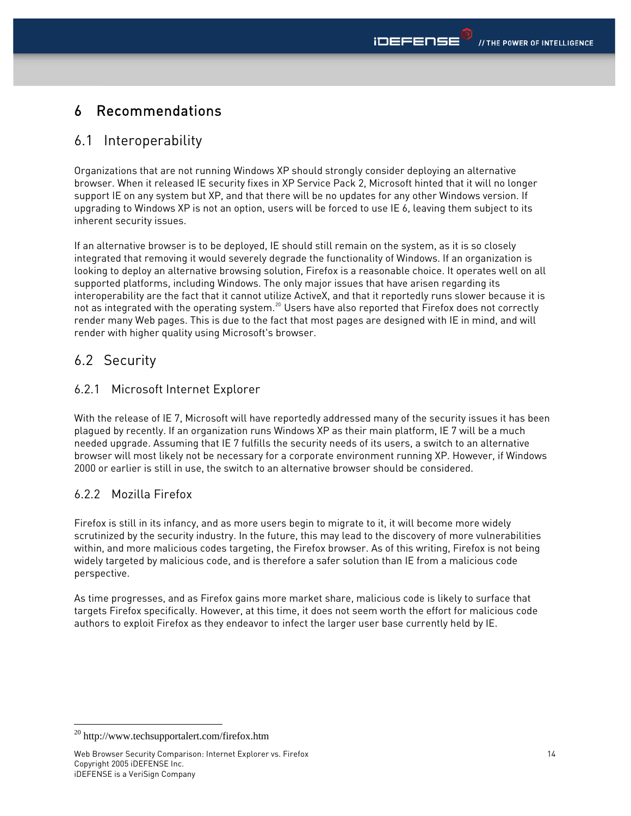# <span id="page-13-0"></span>6 Recommendations

### 6.1 Interoperability

Organizations that are not running Windows XP should strongly consider deploying an alternative browser. When it released IE security fixes in XP Service Pack 2, Microsoft hinted that it will no longer support IE on any system but XP, and that there will be no updates for any other Windows version. If upgrading to Windows XP is not an option, users will be forced to use IE 6, leaving them subject to its inherent security issues.

If an alternative browser is to be deployed, IE should still remain on the system, as it is so closely integrated that removing it would severely degrade the functionality of Windows. If an organization is looking to deploy an alternative browsing solution, Firefox is a reasonable choice. It operates well on all supported platforms, including Windows. The only major issues that have arisen regarding its interoperability are the fact that it cannot utilize ActiveX, and that it reportedly runs slower because it is not as integrated with the operating system.<sup>[20](#page-13-1)</sup> Users have also reported that Firefox does not correctly render many Web pages. This is due to the fact that most pages are designed with IE in mind, and will render with higher quality using Microsoft's browser.

## 6.2 Security

#### 6.2.1 Microsoft Internet Explorer

With the release of IE 7, Microsoft will have reportedly addressed many of the security issues it has been plagued by recently. If an organization runs Windows XP as their main platform, IE 7 will be a much needed upgrade. Assuming that IE 7 fulfills the security needs of its users, a switch to an alternative browser will most likely not be necessary for a corporate environment running XP. However, if Windows 2000 or earlier is still in use, the switch to an alternative browser should be considered.

### 6.2.2 Mozilla Firefox

Firefox is still in its infancy, and as more users begin to migrate to it, it will become more widely scrutinized by the security industry. In the future, this may lead to the discovery of more vulnerabilities within, and more malicious codes targeting, the Firefox browser. As of this writing, Firefox is not being widely targeted by malicious code, and is therefore a safer solution than IE from a malicious code perspective.

As time progresses, and as Firefox gains more market share, malicious code is likely to surface that targets Firefox specifically. However, at this time, it does not seem worth the effort for malicious code authors to exploit Firefox as they endeavor to infect the larger user base currently held by IE.

<span id="page-13-1"></span><sup>1</sup> 20 http://www.techsupportalert.com/firefox.htm

Web Browser Security Comparison: Internet Explorer vs. Firefox Copyright 2005 iDEFENSE Inc. iDEFENSE is a VeriSign Company